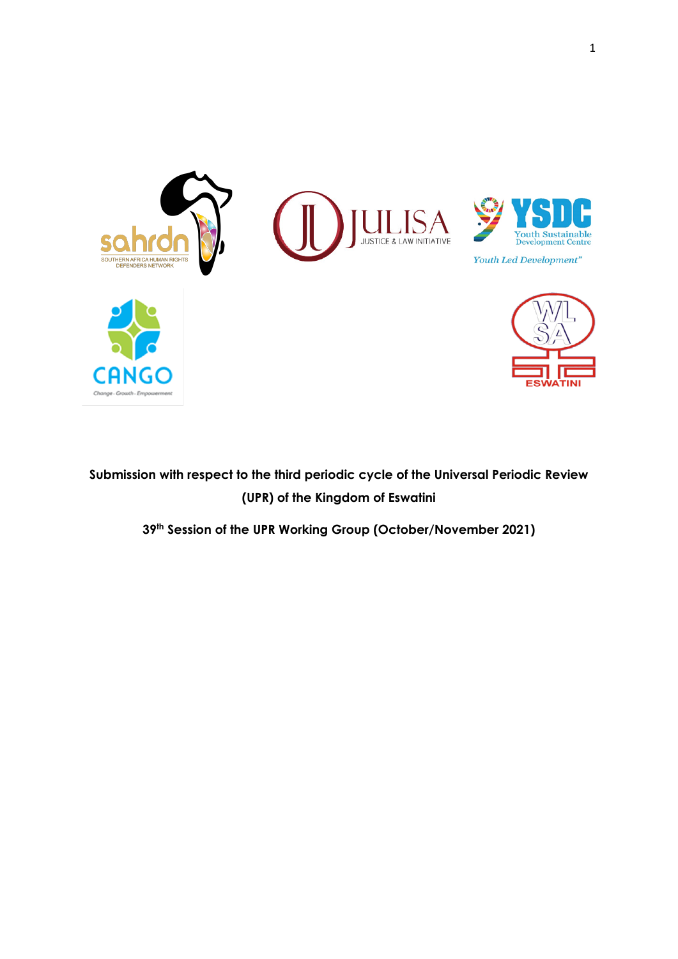

# **Submission with respect to the third periodic cycle of the Universal Periodic Review (UPR) of the Kingdom of Eswatini**

**39th Session of the UPR Working Group (October/November 2021)**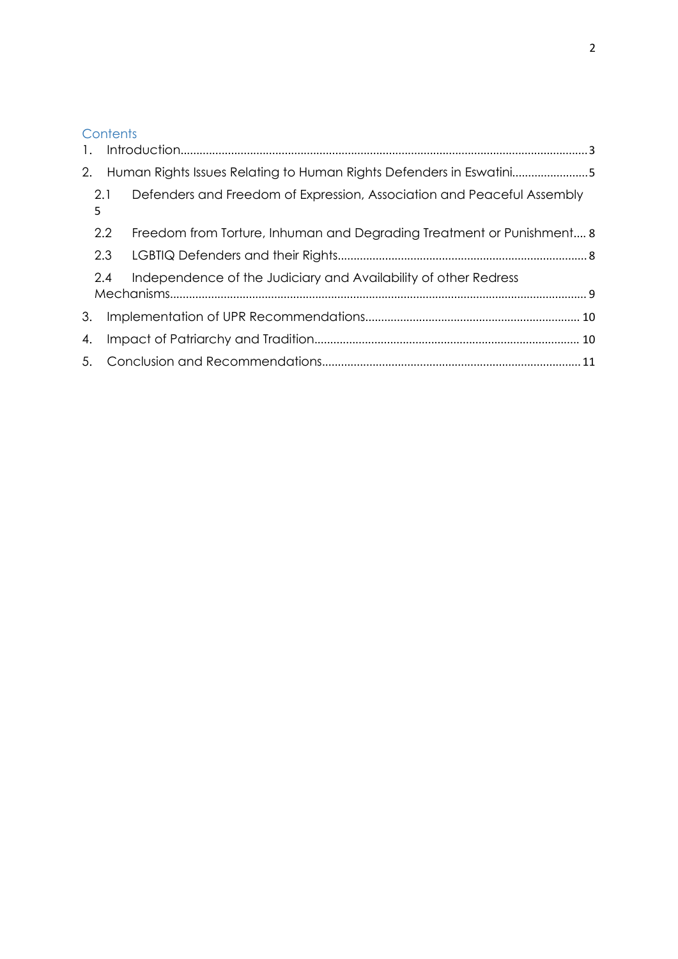## **Contents**

| 1. |     |                                                                        |  |
|----|-----|------------------------------------------------------------------------|--|
| 2. |     | Human Rights Issues Relating to Human Rights Defenders in Eswatini5    |  |
| 5  | 2.1 | Defenders and Freedom of Expression, Association and Peaceful Assembly |  |
|    | 2.2 | Freedom from Torture, Inhuman and Degrading Treatment or Punishment 8  |  |
|    |     |                                                                        |  |
|    | 2.4 | Independence of the Judiciary and Availability of other Redress        |  |
| 3. |     |                                                                        |  |
| 4. |     |                                                                        |  |
|    |     |                                                                        |  |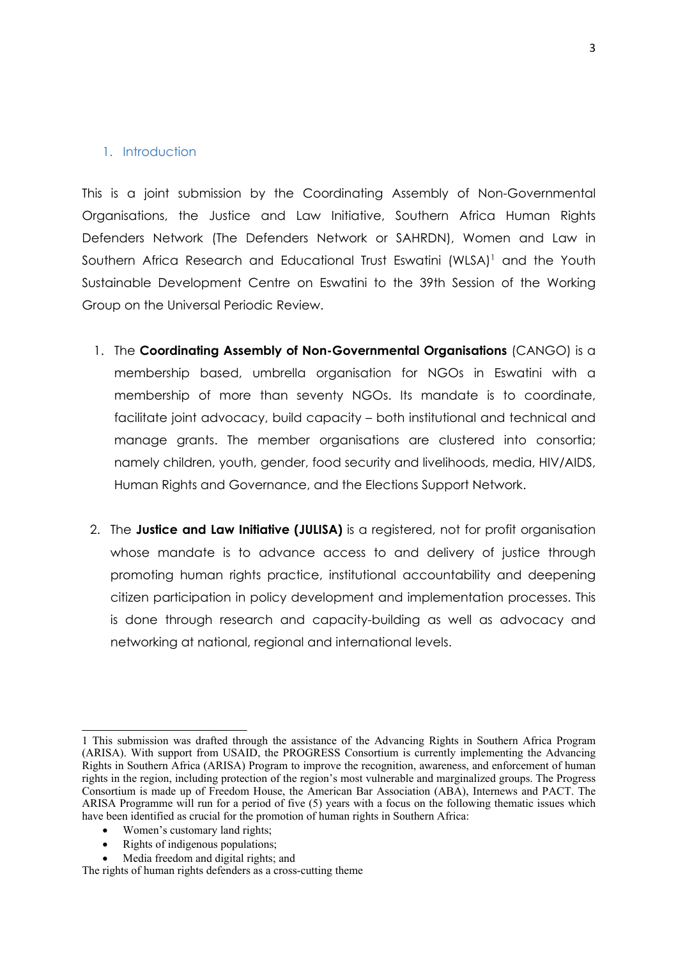#### <span id="page-2-0"></span>1. Introduction

This is <sup>a</sup> joint submission by the Coordinating Assembly of Non-Governmental Organisations, the Justice and Law Initiative, Southern Africa Human Rights Defenders Network (The Defenders Network or SAHRDN), Women and Law in Southern Africa Research and Educational Trust Eswatini (WLSA) <sup>1</sup> and the Youth Sustainable Development Centre on Eswatini to the 39th Session of the Working Group on the Universal Periodic Review.

- 1. The **Coordinating Assembly of Non-Governmental Organisations** (CANGO) is <sup>a</sup> membership based, umbrella organisation for NGOs in Eswatini with <sup>a</sup> membership of more than seventy NGOs. Its mandate is to coordinate, facilitate joint advocacy, build capacity – both institutional and technical and manage grants. The member organisations are clustered into consortia; namely children, youth, gender, food security and livelihoods, media, HIV/AIDS, Human Rights and Governance, and the Elections Support Network.
- 2. The **Justice and Law Initiative (JULISA)** is <sup>a</sup> registered, not for profit organisation whose mandate is to advance access to and delivery of justice through promoting human rights practice, institutional accountability and deepening citizen participation in policy development and implementation processes. This is done through research and capacity-building as well as advocacy and networking at national, regional and international levels.

- c Women'<sup>s</sup> customary land rights;
- $\bullet$ Rights of indigenous populations;
- e Media freedom and digital rights; and

<sup>1</sup> This submission was drafted through the assistance of the Advancing Rights in Southern Africa Program (ARISA). With suppor<sup>t</sup> from USAID, the PROGRESS Consortium is currently implementing the Advancing Rights in Southern Africa (ARISA) Program to improve the recognition, awareness, and enforcement of human rights in the region, including protection of the region'<sup>s</sup> most vulnerable and marginalized groups. The Progress Consortium is made up of Freedom House, the American Bar Association (ABA), Internews and PACT. The ARISA Programme will run for <sup>a</sup> period of five (5) years with <sup>a</sup> focus on the following thematic issues which have been identified as crucial for the promotion of human rights in Southern Africa:

The rights of human rights defenders as <sup>a</sup> cross-cutting theme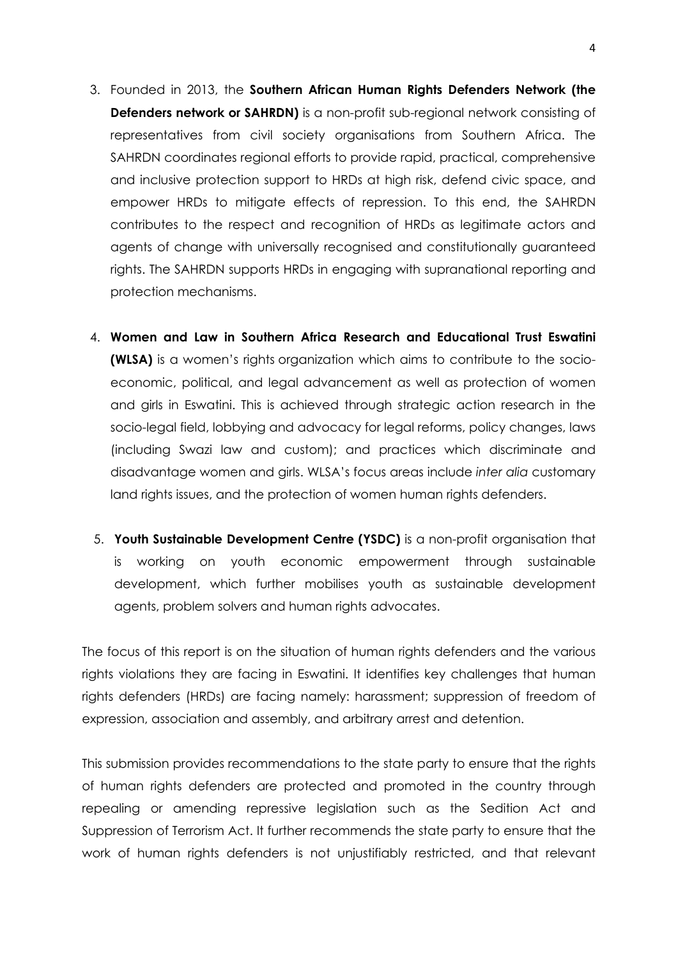- 3. Founded in 2013, the **Southern African Human Rights Defenders Network (the Defenders network or SAHRDN)** is <sup>a</sup> non-profit sub-regional network consisting of representatives from civil society organisations from Southern Africa. The SAHRDN coordinates regional efforts to provide rapid, practical, comprehensive and inclusive protection support to HRDs at high risk, defend civic space, and empower HRDs to mitigate effects of repression. To this end, the SAHRDN contributes to the respect and recognition of HRDs as legitimate actors and agents of change with universally recognised and constitutionally guaranteed rights. The SAHRDN supports HRDs in engaging with supranational reporting and protection mechanisms.
- 4. **Women and Law in Southern Africa Research and Educational Trust Eswatini (WLSA)** is <sup>a</sup> women'<sup>s</sup> rights organization which aims to contribute to the socioeconomic, political, and legal advancement as well as protection of women and girls in Eswatini. This is achieved through strategic action research in the socio-legal field, lobbying and advocacy for legal reforms, policy changes, laws (including Swazi law and custom); and practices which discriminate and disadvantage women and girls. WLSA'<sup>s</sup> focus areas include *inter alia* customary land rights issues, and the protection of women human rights defenders.
- 5. **Youth Sustainable Development Centre (YSDC)** is <sup>a</sup> non-profit organisation that is working on youth economic empowerment through sustainable development, which further mobilises youth as sustainable development agents, problem solvers and human rights advocates.

The focus of this report is on the situation of human rights defenders and the various rights violations they are facing in Eswatini. It identifies key challenges that human rights defenders (HRDs) are facing namely: harassment; suppression of freedom of expression, association and assembly, and arbitrary arrest and detention.

This submission provides recommendations to the state party to ensure that the rights of human rights defenders are protected and promoted in the country through repealing or amending repressive legislation such as the Sedition Act and Suppression of Terrorism Act. It further recommends the state party to ensure that the work of human rights defenders is not unjustifiably restricted, and that relevant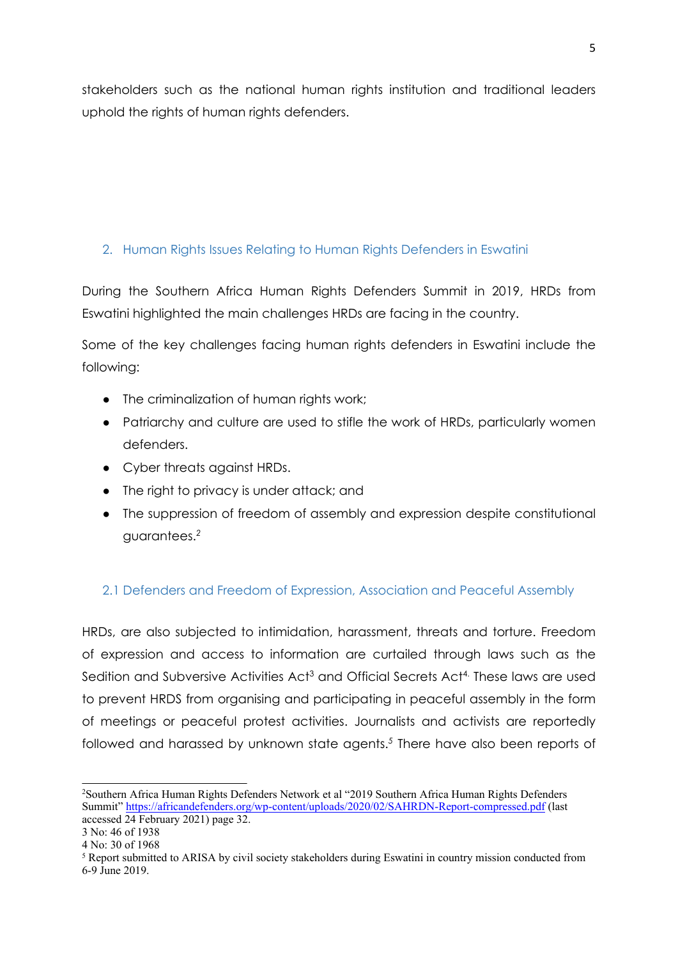<span id="page-4-0"></span>stakeholders such as the national human rights institution and traditional leaders uphold the rights of human rights defenders.

#### 2. Human Rights Issues Relating to Human Rights Defenders in Eswatini

During the Southern Africa Human Rights Defenders Summit in 2019, HRDs from Eswatini highlighted the main challenges HRDs are facing in the country.

Some of the key challenges facing human rights defenders in Eswatini include the following:

- The criminalization of human rights work;
- Patriarchy and culture are used to stifle the work of HRDs, particularly women defenders.
- Cyber threats against HRDs.
- The right to privacy is under attack; and
- The suppression of freedom of assembly and expression despite constitutional guarantees. *2*

#### 2.1 Defenders and Freedom of Expression, Association and Peaceful Assembly

HRDs, are also subjected to intimidation, harassment, threats and torture. Freedom of expression and access to information are curtailed through laws such as the Sedition and Subversive Activities Act $^3$  and Official Secrets Act $^4$ . These laws are usec to prevent HRDS from organising and participating in peaceful assembly in the form of meetings or peaceful protest activities. Journalists and activists are reportedly followed and harassed by unknown state agents. *5* There have also been reports of

<sup>2</sup> Southern Africa Human Rights Defenders Network et al "2019 Southern Africa Human Rights Defenders Summit" <https://africandefenders.org/wp-content/uploads/2020/02/SAHRDN-Report-compressed.pdf> (last accessed 24 February 2021) page 32.

<sup>3</sup> No: 46 of 1938

<sup>4</sup> No: 30 of 1968

<sup>5</sup> Report submitted to ARISA by civil society stakeholders during Eswatini in country mission conducted from 6-9 June 2019.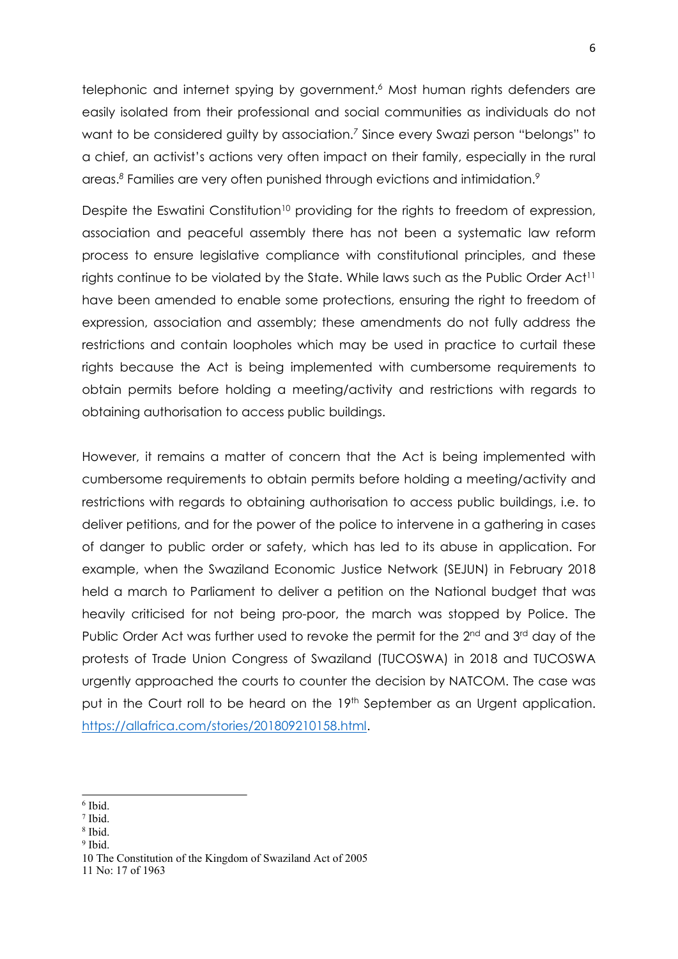telephonic and internet spying by government. *<sup>6</sup>* Most human rights defenders are easily isolated from their professional and social communities as individuals do not want to be considered guilty by association. *7* Since every Swazi person "belongs" to <sup>a</sup> chief, an activist'<sup>s</sup> actions very often impact on their family, especially in the rural areas. *8* Families are very often punished through evictions and intimidation. *9*

Despite the Eswatini Constitution<sup>10</sup> providing for the rights to freedom of expression, association and peaceful assembly there has not been <sup>a</sup> systematic law reform process to ensure legislative compliance with constitutional principles, and these rights continue to be violated by the State. While laws such as the Public Order Act<sup>11</sup> have been amended to enable some protections, ensuring the right to freedom of expression, association and assembly; these amendments do not fully address the restrictions and contain loopholes which may be used in practice to curtail these rights because the Act is being implemented with cumbersome requirements to obtain permits before holding <sup>a</sup> meeting/activity and restrictions with regards to obtaining authorisation to access public buildings.

However, it remains <sup>a</sup> matter of concern that the Act is being implemented with cumbersome requirements to obtain permits before holding <sup>a</sup> meeting/activity and restrictions with regards to obtaining authorisation to access public buildings, i.e. to deliver petitions, and for the power of the police to intervene in <sup>a</sup> gathering in cases of danger to public order or safety, which has led to its abuse in application. For example, when the Swaziland Economic Justice Network (SEJUN) in February 2018 held <sup>a</sup> march to Parliament to deliver <sup>a</sup> petition on the National budget that was heavily criticised for not being pro-poor, the march was stopped by Police. The Public Order Act was further used to revoke the permit for the 2<sup>nd</sup> and 3<sup>rd</sup> day of the protests of Trade Union Congress of Swaziland (TUCOSWA) in 2018 and TUCOSWA urgently approached the courts to counter the decision by NATCOM. The case was put in the Court roll to be heard on the 19th September as an Urgent application. <https://allafrica.com/stories/201809210158.html>.

- 7 Ibid.
- 8 Ibid.
- <sup>9</sup> Ibid.

11 No: 17 of 1963

<sup>6</sup> Ibid.

<sup>10</sup> The Constitution of the Kingdom of Swaziland Act of 2005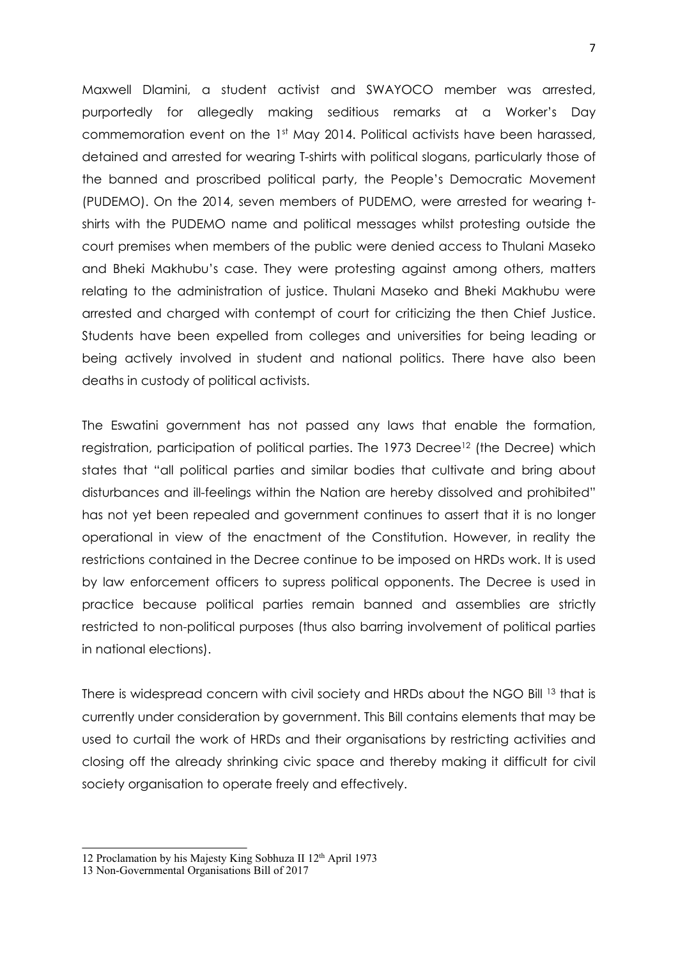Maxwell Dlamini, <sup>a</sup> student activist and SWAYOCO member was arrested, purportedly for allegedly making seditious remarks at <sup>a</sup> Worker'<sup>s</sup> Day commemoration event on the 1<sup>st</sup> May 2014. Political activists have been harassed, detained and arrested for wearing T-shirts with political slogans, particularly those of the banned and proscribed political party, the People'<sup>s</sup> Democratic Movement (PUDEMO). On the 2014, seven members of PUDEMO, were arrested for wearing tshirts with the PUDEMO name and political messages whilst protesting outside the court premises when members of the public were denied access to Thulani Maseko and Bheki Makhubu'<sup>s</sup> case. They were protesting against among others, matters relating to the administration of justice. Thulani Maseko and Bheki Makhubu were arrested and charged with contempt of court for criticizing the then Chief Justice. Students have been expelled from colleges and universities for being leading or being actively involved in student and national politics. There have also been deaths in custody of political activists.

The Eswatini government has not passed any laws that enable the formation, registration, participation of political parties. The 1973 Decree<sup>12</sup> (the Decree) which states that "all political parties and similar bodies that cultivate and bring about disturbances and ill-feelings within the Nation are hereby dissolved and prohibited" has not yet been repealed and government continues to assert that it is no longer operational in view of the enactment of the Constitution. However, in reality the restrictions contained in the Decree continue to be imposed on HRDs work. It is used by law enforcement officers to supress political opponents. The Decree is used in practice because political parties remain banned and assemblies are strictly restricted to non-political purposes (thus also barring involvement of political parties in national elections).

There is widespread concern with civil society and HRDs about the NGO Bill <sup>13</sup> that is currently under consideration by government. This Bill contains elements that may be used to curtail the work of HRDs and their organisations by restricting activities and closing off the already shrinking civic space and thereby making it difficult for civil society organisation to operate freely and effectively.

<sup>12</sup> Proclamation by his Majesty King Sobhuza II 12<sup>th</sup> April 1973

<sup>13</sup> Non-Governmental Organisations Bill of 2017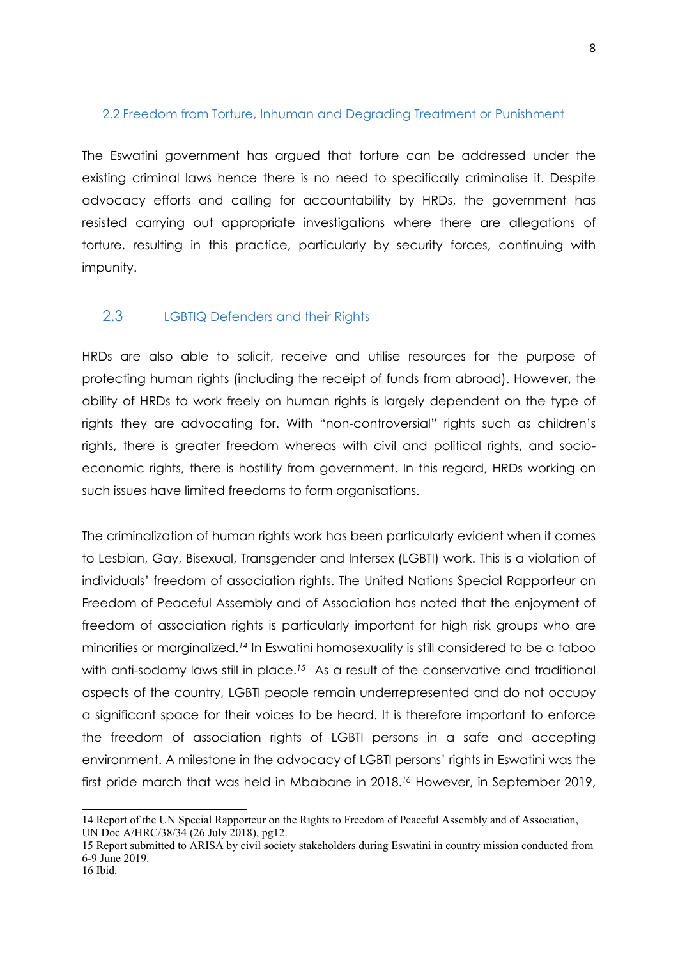#### <span id="page-7-0"></span>2.2 Freedom from Torture, Inhuman and Degrading Treatment or Punishment

The Eswatini government has argued that torture can be addressed under the existing criminal laws hence there is no need to specifically criminalise it. Despite advocacy efforts and calling for accountability by HRDs, the government has resisted carrying out appropriate investigations where there are allegations of torture, resulting in this practice, particularly by security forces, continuing with impunity.

#### 2.3 LGBTIQ Defenders and their Rights

HRDs are also able to solicit, receive and utilise resources for the purpose of protecting human rights (including the receipt of funds from abroad). However, the ability of HRDs to work freely on human rights is largely dependent on the type of rights they are advocating for. With "non-controversial" rights such as children'<sup>s</sup> rights, there is greater freedom whereas with civil and political rights, and socioeconomic rights, there is hostility from government. In this regard, HRDs working on such issues have limited freedoms to form organisations.

The criminalization of human rights work has been particularly evident when it comes to Lesbian, Gay, Bisexual, Transgender and Intersex (LGBTI) work. This is <sup>a</sup> violation of individuals' freedom of association rights. The United Nations Special Rapporteur on Freedom of Peaceful Assembly and of Association has noted that the enjoyment of freedom of association rights is particularly important for high risk groups who are minorities or marginalized. *14* In Eswatini homosexuality is still considered to be <sup>a</sup> taboo with anti-sodomy laws still in place. *<sup>15</sup>* As <sup>a</sup> result of the conservative and traditional aspects of the country, LGBTI people remain underrepresented and do not occupy <sup>a</sup> significant space for their voices to be heard. It is therefore important to enforce the freedom of association rights of LGBTI persons in <sup>a</sup> safe and accepting environment. A milestone in the advocacy of LGBTI persons' rights in Eswatini was the first pride march that was held in Mbabane in 2018. *<sup>16</sup>* However, in September 2019,

<sup>14</sup> Report of the UN Special Rapporteur on the Rights to Freedom of Peaceful Assembly and of Association, UN Doc A/HRC/38/34 (26 July 2018), pg12.

<sup>15</sup> Report submitted to ARISA by civil society stakeholders during Eswatini in country mission conducted from 6-9 June 2019.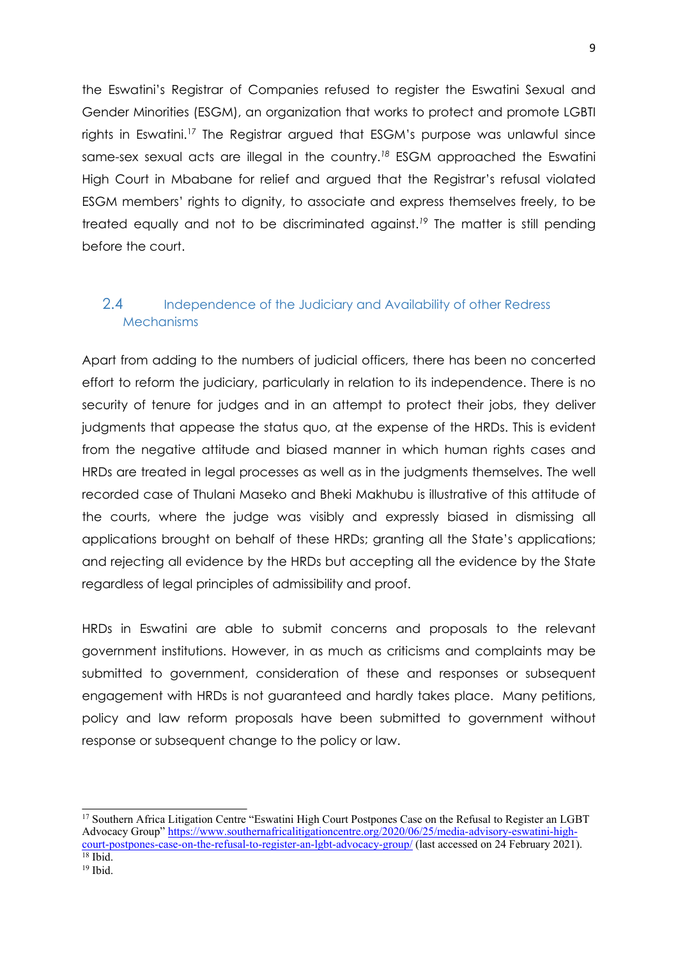<span id="page-8-0"></span>the Eswatini'<sup>s</sup> Registrar of Companies refused to register the Eswatini Sexual and Gender Minorities (ESGM), an organization that works to protect and promote LGBTI rights in Eswatini. 17 The Registrar argued that ESGM'<sup>s</sup> purpose was unlawful since same-sex sexual acts are illegal in the country. *18* ESGM approached the Eswatini High Court in Mbabane for relief and argued that the Registrar'<sup>s</sup> refusal violated ESGM members' rights to dignity, to associate and express themselves freely, to be treated equally and not to be discriminated against. *19* The matter is still pending before the court.

#### 2.4 Independence of the Judiciary and Availability of other Redress **Mechanisms**

Apart from adding to the numbers of judicial officers, there has been no concerted effort to reform the judiciary, particularly in relation to its independence. There is no security of tenure for judges and in an attempt to protect their jobs, they deliver judgments that appease the status quo, at the expense of the HRDs. This is evident from the negative attitude and biased manner in which human rights cases and HRDs are treated in legal processes as well as in the judgments themselves. The well recorded case of Thulani Maseko and Bheki Makhubu is illustrative of this attitude of the courts, where the judge was visibly and expressly biased in dismissing all applications brought on behalf of these HRDs; granting all the State'<sup>s</sup> applications; and rejecting all evidence by the HRDs but accepting all the evidence by the State regardless of legal principles of admissibility and proof.

HRDs in Eswatini are able to submit concerns and proposals to the relevant government institutions. However, in as much as criticisms and complaints may be submitted to government, consideration of these and responses or subsequent engagement with HRDs is not guaranteed and hardly takes place. Many petitions, policy and law reform proposals have been submitted to government without response or subsequent change to the policy or law.

<sup>&</sup>lt;sup>17</sup> Southern Africa Litigation Centre "Eswatini High Court Postpones Case on the Refusal to Register an LGBT Advocacy Group" [https://www.southernafricalitigationcentre.org/2020/06/25/media-advisory-eswatini-high](https://www.southernafricalitigationcentre.org/2020/06/25/media-advisory-eswatini-high-court-postpones-case-on-the-refusal-to-register-an-lgbt-advocacy-group/)[court-postpones-case-on-the-refusal-to-register-an-lgbt-advocacy-group/](https://www.southernafricalitigationcentre.org/2020/06/25/media-advisory-eswatini-high-court-postpones-case-on-the-refusal-to-register-an-lgbt-advocacy-group/) (last accessed on 24 February 2021). 18 Ibid.

<sup>19</sup> Ibid.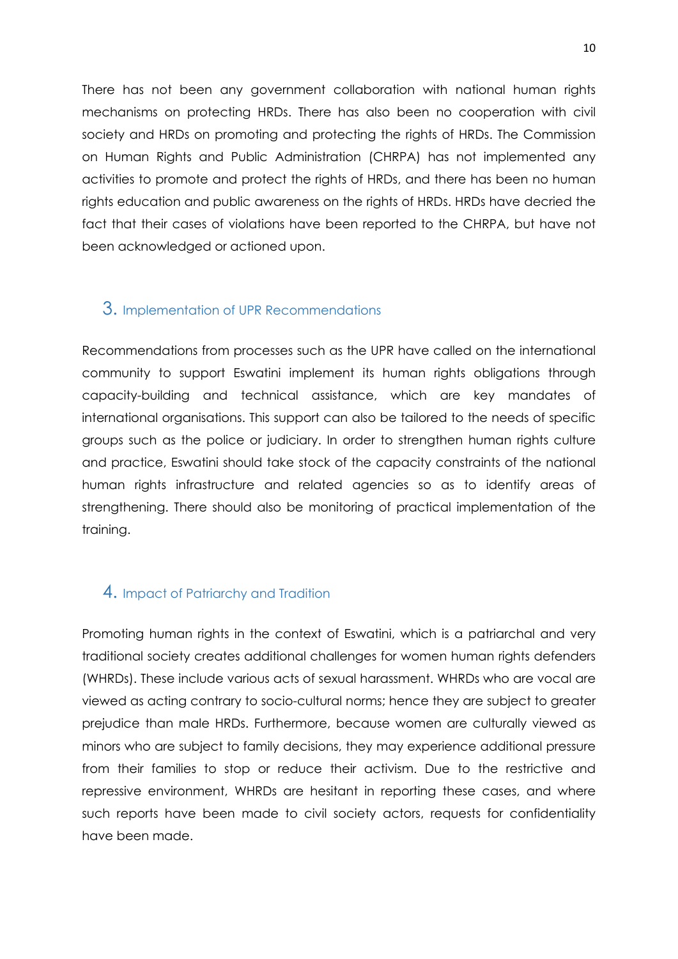<span id="page-9-0"></span>There has not been any government collaboration with national human rights mechanisms on protecting HRDs. There has also been no cooperation with civil society and HRDs on promoting and protecting the rights of HRDs. The Commission on Human Rights and Public Administration (CHRPA) has not implemented any activities to promote and protect the rights of HRDs, and there has been no human rights education and public awareness on the rights of HRDs. HRDs have decried the fact that their cases of violations have been reported to the CHRPA, but have not been acknowledged or actioned upon.

#### 3. Implementation of UPR Recommendations

Recommendations from processes such as the UPR have called on the international community to support Eswatini implement its human rights obligations through capacity-building and technical assistance, which are key mandates of international organisations. This support can also be tailored to the needs of specific groups such as the police or judiciary. In order to strengthen human rights culture and practice, Eswatini should take stock of the capacity constraints of the national human rights infrastructure and related agencies so as to identify areas of strengthening. There should also be monitoring of practical implementation of the training.

## 4. Impact of Patriarchy and Tradition

Promoting human rights in the context of Eswatini, which is <sup>a</sup> patriarchal and very traditional society creates additional challenges for women human rights defenders (WHRDs). These include various acts of sexual harassment. WHRDs who are vocal are viewed as acting contrary to socio-cultural norms; hence they are subject to greater prejudice than male HRDs. Furthermore, because women are culturally viewed as minors who are subject to family decisions, they may experience additional pressure from their families to stop or reduce their activism. Due to the restrictive and repressive environment, WHRDs are hesitant in reporting these cases, and where such reports have been made to civil society actors, requests for confidentiality have been made.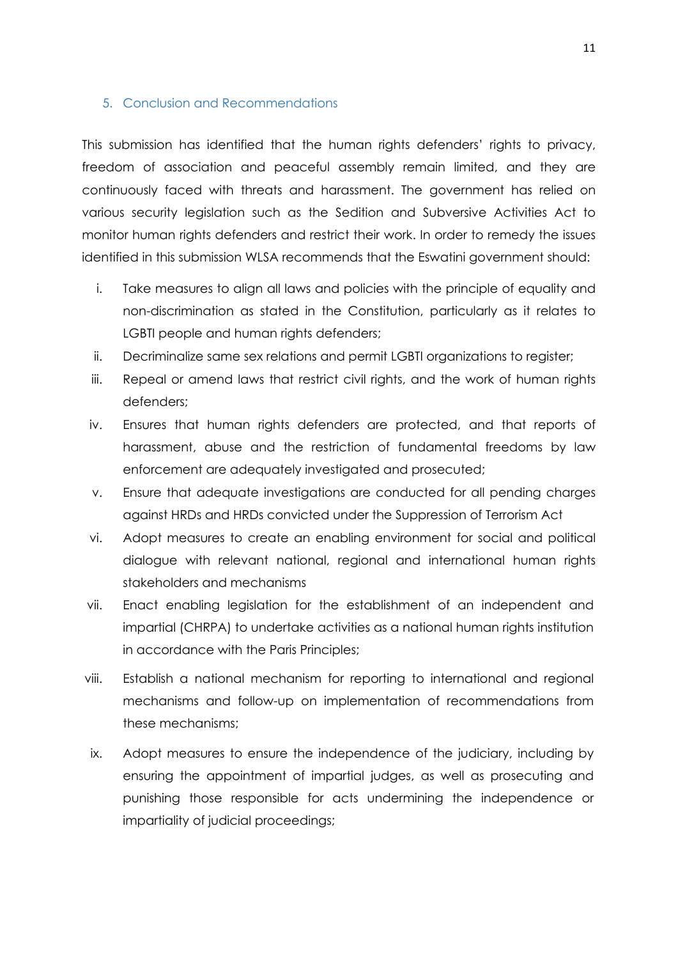#### <span id="page-10-0"></span>5. Conclusion and Recommendations

This submission has identified that the human rights defenders' rights to privacy, freedom of association and peaceful assembly remain limited, and they are continuously faced with threats and harassment. The government has relied on various security legislation such as the Sedition and Subversive Activities Act to monitor human rights defenders and restrict their work. In order to remedy the issues identified in this submission WLSA recommends that the Eswatini government should:

- i. Take measures to align all laws and policies with the principle of equality and non-discrimination as stated in the Constitution, particularly as it relates to LGBTI people and human rights defenders;
- ii. Decriminalize same sex relations and permit LGBTI organizations to register;
- iii. Repeal or amend laws that restrict civil rights, and the work of human rights defenders;
- iv. Ensures that human rights defenders are protected, and that reports of harassment, abuse and the restriction of fundamental freedoms by law enforcement are adequately investigated and prosecuted;
- v. Ensure that adequate investigations are conducted for all pending charges against HRDs and HRDs convicted under the Suppression of Terrorism Act
- vi. Adopt measures to create an enabling environment for social and political dialogue with relevant national, regional and international human rights stakeholders and mechanisms
- vii. Enact enabling legislation for the establishment of an independent and impartial (CHRPA) to undertake activities as <sup>a</sup> national human rights institution in accordance with the Paris Principles;
- viii. Establish <sup>a</sup> national mechanism for reporting to international and regional mechanisms and follow-up on implementation of recommendations from these mechanisms;
- ix. Adopt measures to ensure the independence of the judiciary, including by ensuring the appointment of impartial judges, as well as prosecuting and punishing those responsible for acts undermining the independence or impartiality of judicial proceedings;